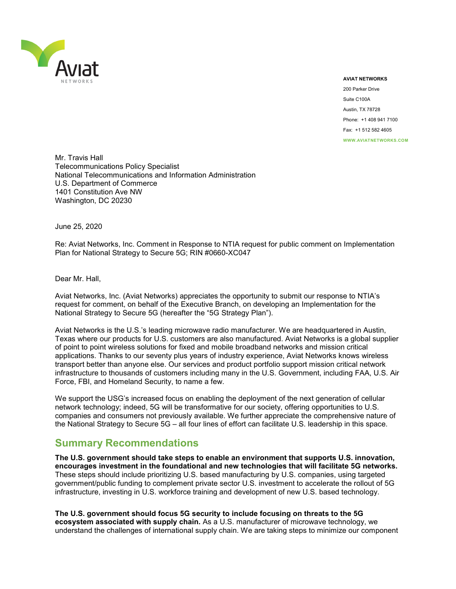

#### **AVIAT NETWORKS**

200 Parker Drive Suite C100A Austin, TX 78728 Phone: +1 408 941 7100 Fax: +1 512 582 4605 **WWW.AVIATNETWORKS.COM**

Mr. Travis Hall Telecommunications Policy Specialist National Telecommunications and Information Administration U.S. Department of Commerce 1401 Constitution Ave NW Washington, DC 20230

June 25, 2020

Re: Aviat Networks, Inc. Comment in Response to NTIA request for public comment on Implementation Plan for National Strategy to Secure 5G; RIN #0660-XC047

Dear Mr. Hall,

Aviat Networks, Inc. (Aviat Networks) appreciates the opportunity to submit our response to NTIA's request for comment, on behalf of the Executive Branch, on developing an Implementation for the National Strategy to Secure 5G (hereafter the "5G Strategy Plan").

Aviat Networks is the U.S.'s leading microwave radio manufacturer. We are headquartered in Austin, Texas where our products for U.S. customers are also manufactured. Aviat Networks is a global supplier of point to point wireless solutions for fixed and mobile broadband networks and mission critical applications. Thanks to our seventy plus years of industry experience, Aviat Networks knows wireless transport better than anyone else. Our services and product portfolio support mission critical network infrastructure to thousands of customers including many in the U.S. Government, including FAA, U.S. Air Force, FBI, and Homeland Security, to name a few.

We support the USG's increased focus on enabling the deployment of the next generation of cellular network technology; indeed, 5G will be transformative for our society, offering opportunities to U.S. companies and consumers not previously available. We further appreciate the comprehensive nature of the National Strategy to Secure 5G – all four lines of effort can facilitate U.S. leadership in this space.

### **Summary Recommendations**

**The U.S. government should take steps to enable an environment that supports U.S. innovation, encourages investment in the foundational and new technologies that will facilitate 5G networks.**  These steps should include prioritizing U.S. based manufacturing by U.S. companies, using targeted government/public funding to complement private sector U.S. investment to accelerate the rollout of 5G infrastructure, investing in U.S. workforce training and development of new U.S. based technology.

**The U.S. government should focus 5G security to include focusing on threats to the 5G ecosystem associated with supply chain.** As a U.S. manufacturer of microwave technology, we understand the challenges of international supply chain. We are taking steps to minimize our component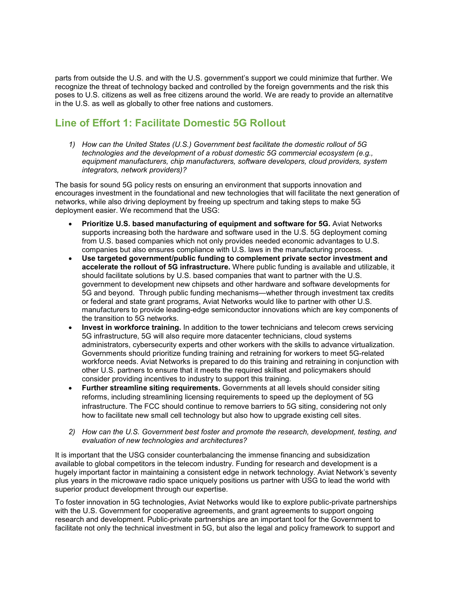parts from outside the U.S. and with the U.S. government's support we could minimize that further. We recognize the threat of technology backed and controlled by the foreign governments and the risk this poses to U.S. citizens as well as free citizens around the world. We are ready to provide an alternatitve in the U.S. as well as globally to other free nations and customers.

# **Line of Effort 1: Facilitate Domestic 5G Rollout**

*1) How can the United States (U.S.) Government best facilitate the domestic rollout of 5G technologies and the development of a robust domestic 5G commercial ecosystem (e.g., equipment manufacturers, chip manufacturers, software developers, cloud providers, system integrators, network providers)?* 

The basis for sound 5G policy rests on ensuring an environment that supports innovation and encourages investment in the foundational and new technologies that will facilitate the next generation of networks, while also driving deployment by freeing up spectrum and taking steps to make 5G deployment easier. We recommend that the USG:

- **Prioritize U.S. based manufacturing of equipment and software for 5G.** Aviat Networks supports increasing both the hardware and software used in the U.S. 5G deployment coming from U.S. based companies which not only provides needed economic advantages to U.S. companies but also ensures compliance with U.S. laws in the manufacturing process.
- **Use targeted government/public funding to complement private sector investment and accelerate the rollout of 5G infrastructure.** Where public funding is available and utilizable, it should facilitate solutions by U.S. based companies that want to partner with the U.S. government to development new chipsets and other hardware and software developments for 5G and beyond. Through public funding mechanisms—whether through investment tax credits or federal and state grant programs, Aviat Networks would like to partner with other U.S. manufacturers to provide leading-edge semiconductor innovations which are key components of the transition to 5G networks.
- **Invest in workforce training.** In addition to the tower technicians and telecom crews servicing 5G infrastructure, 5G will also require more datacenter technicians, cloud systems administrators, cybersecurity experts and other workers with the skills to advance virtualization. Governments should prioritize funding training and retraining for workers to meet 5G-related workforce needs. Aviat Networks is prepared to do this training and retraining in conjunction with other U.S. partners to ensure that it meets the required skillset and policymakers should consider providing incentives to industry to support this training.
- **Further streamline siting requirements.** Governments at all levels should consider siting reforms, including streamlining licensing requirements to speed up the deployment of 5G infrastructure. The FCC should continue to remove barriers to 5G siting, considering not only how to facilitate new small cell technology but also how to upgrade existing cell sites.
- *2) How can the U.S. Government best foster and promote the research, development, testing, and evaluation of new technologies and architectures?*

It is important that the USG consider counterbalancing the immense financing and subsidization available to global competitors in the telecom industry. Funding for research and development is a hugely important factor in maintaining a consistent edge in network technology. Aviat Network's seventy plus years in the microwave radio space uniquely positions us partner with USG to lead the world with superior product development through our expertise.

To foster innovation in 5G technologies, Aviat Networks would like to explore public-private partnerships with the U.S. Government for cooperative agreements, and grant agreements to support ongoing research and development. Public-private partnerships are an important tool for the Government to facilitate not only the technical investment in 5G, but also the legal and policy framework to support and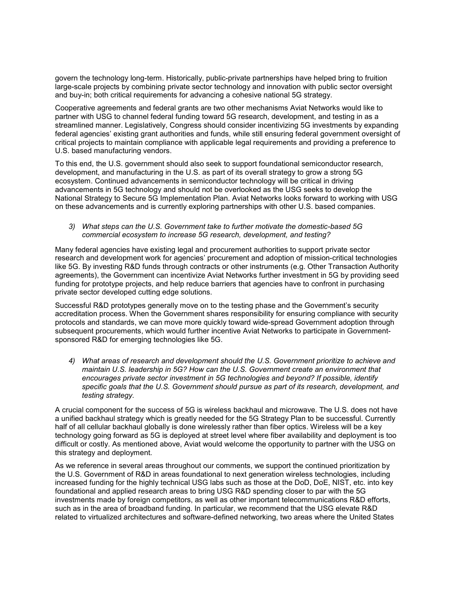govern the technology long-term. Historically, public-private partnerships have helped bring to fruition large-scale projects by combining private sector technology and innovation with public sector oversight and buy-in; both critical requirements for advancing a cohesive national 5G strategy.

Cooperative agreements and federal grants are two other mechanisms Aviat Networks would like to partner with USG to channel federal funding toward 5G research, development, and testing in as a streamlined manner. Legislatively, Congress should consider incentivizing 5G investments by expanding federal agencies' existing grant authorities and funds, while still ensuring federal government oversight of critical projects to maintain compliance with applicable legal requirements and providing a preference to U.S. based manufacturing vendors.

To this end, the U.S. government should also seek to support foundational semiconductor research, development, and manufacturing in the U.S. as part of its overall strategy to grow a strong 5G ecosystem. Continued advancements in semiconductor technology will be critical in driving advancements in 5G technology and should not be overlooked as the USG seeks to develop the National Strategy to Secure 5G Implementation Plan. Aviat Networks looks forward to working with USG on these advancements and is currently exploring partnerships with other U.S. based companies.

#### *3) What steps can the U.S. Government take to further motivate the domestic-based 5G commercial ecosystem to increase 5G research, development, and testing?*

Many federal agencies have existing legal and procurement authorities to support private sector research and development work for agencies' procurement and adoption of mission-critical technologies like 5G. By investing R&D funds through contracts or other instruments (e.g. Other Transaction Authority agreements), the Government can incentivize Aviat Networks further investment in 5G by providing seed funding for prototype projects, and help reduce barriers that agencies have to confront in purchasing private sector developed cutting edge solutions.

Successful R&D prototypes generally move on to the testing phase and the Government's security accreditation process. When the Government shares responsibility for ensuring compliance with security protocols and standards, we can move more quickly toward wide-spread Government adoption through subsequent procurements, which would further incentive Aviat Networks to participate in Governmentsponsored R&D for emerging technologies like 5G.

*4) What areas of research and development should the U.S. Government prioritize to achieve and maintain U.S. leadership in 5G? How can the U.S. Government create an environment that encourages private sector investment in 5G technologies and beyond? If possible, identify specific goals that the U.S. Government should pursue as part of its research, development, and testing strategy.* 

A crucial component for the success of 5G is wireless backhaul and microwave. The U.S. does not have a unified backhaul strategy which is greatly needed for the 5G Strategy Plan to be successful. Currently half of all cellular backhaul globally is done wirelessly rather than fiber optics. Wireless will be a key technology going forward as 5G is deployed at street level where fiber availability and deployment is too difficult or costly. As mentioned above, Aviat would welcome the opportunity to partner with the USG on this strategy and deployment.

As we reference in several areas throughout our comments, we support the continued prioritization by the U.S. Government of R&D in areas foundational to next generation wireless technologies, including increased funding for the highly technical USG labs such as those at the DoD, DoE, NIST, etc. into key foundational and applied research areas to bring USG R&D spending closer to par with the 5G investments made by foreign competitors, as well as other important telecommunications R&D efforts, such as in the area of broadband funding. In particular, we recommend that the USG elevate R&D related to virtualized architectures and software-defined networking, two areas where the United States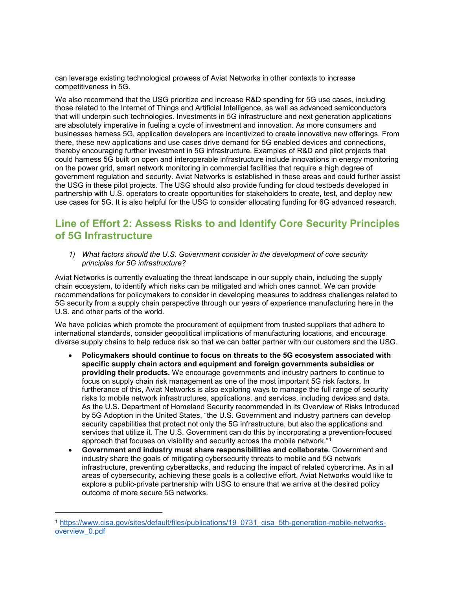can leverage existing technological prowess of Aviat Networks in other contexts to increase competitiveness in 5G.

We also recommend that the USG prioritize and increase R&D spending for 5G use cases, including those related to the Internet of Things and Artificial Intelligence, as well as advanced semiconductors that will underpin such technologies. Investments in 5G infrastructure and next generation applications are absolutely imperative in fueling a cycle of investment and innovation. As more consumers and businesses harness 5G, application developers are incentivized to create innovative new offerings. From there, these new applications and use cases drive demand for 5G enabled devices and connections, thereby encouraging further investment in 5G infrastructure. Examples of R&D and pilot projects that could harness 5G built on open and interoperable infrastructure include innovations in energy monitoring on the power grid, smart network monitoring in commercial facilities that require a high degree of government regulation and security. Aviat Networks is established in these areas and could further assist the USG in these pilot projects. The USG should also provide funding for cloud testbeds developed in partnership with U.S. operators to create opportunities for stakeholders to create, test, and deploy new use cases for 5G. It is also helpful for the USG to consider allocating funding for 6G advanced research.

## **Line of Effort 2: Assess Risks to and Identify Core Security Principles of 5G Infrastructure**

*1) What factors should the U.S. Government consider in the development of core security principles for 5G infrastructure?* 

Aviat Networks is currently evaluating the threat landscape in our supply chain, including the supply chain ecosystem, to identify which risks can be mitigated and which ones cannot. We can provide recommendations for policymakers to consider in developing measures to address challenges related to 5G security from a supply chain perspective through our years of experience manufacturing here in the U.S. and other parts of the world.

We have policies which promote the procurement of equipment from trusted suppliers that adhere to international standards, consider geopolitical implications of manufacturing locations, and encourage diverse supply chains to help reduce risk so that we can better partner with our customers and the USG.

- **Policymakers should continue to focus on threats to the 5G ecosystem associated with specific supply chain actors and equipment and foreign governments subsidies or providing their products.** We encourage governments and industry partners to continue to focus on supply chain risk management as one of the most important 5G risk factors. In furtherance of this, Aviat Networks is also exploring ways to manage the full range of security risks to mobile network infrastructures, applications, and services, including devices and data. As the U.S. Department of Homeland Security recommended in its Overview of Risks Introduced by 5G Adoption in the United States, "the U.S. Government and industry partners can develop security capabilities that protect not only the 5G infrastructure, but also the applications and services that utilize it. The U.S. Government can do this by incorporating a prevention-focused approach that focuses on visibility and security across the mobile network."[1](#page-3-0)
- **Government and industry must share responsibilities and collaborate.** Government and industry share the goals of mitigating cybersecurity threats to mobile and 5G network infrastructure, preventing cyberattacks, and reducing the impact of related cybercrime. As in all areas of cybersecurity, achieving these goals is a collective effort. Aviat Networks would like to explore a public-private partnership with USG to ensure that we arrive at the desired policy outcome of more secure 5G networks.

-

<span id="page-3-0"></span><sup>1</sup> [https://www.cisa.gov/sites/default/files/publications/19\\_0731\\_cisa\\_5th-generation-mobile-networks](https://www.cisa.gov/sites/default/files/publications/19_0731_cisa_5th-generation-mobile-networks-overview_0.pdf)[overview\\_0.pdf](https://www.cisa.gov/sites/default/files/publications/19_0731_cisa_5th-generation-mobile-networks-overview_0.pdf)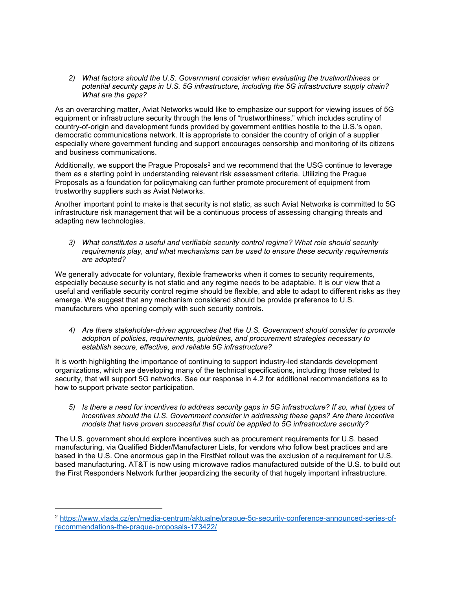*2) What factors should the U.S. Government consider when evaluating the trustworthiness or potential security gaps in U.S. 5G infrastructure, including the 5G infrastructure supply chain? What are the gaps?*

As an overarching matter, Aviat Networks would like to emphasize our support for viewing issues of 5G equipment or infrastructure security through the lens of "trustworthiness," which includes scrutiny of country-of-origin and development funds provided by government entities hostile to the U.S.'s open, democratic communications network. It is appropriate to consider the country of origin of a supplier especially where government funding and support encourages censorship and monitoring of its citizens and business communications.

Additionally, we support the Prague Proposals<sup>[2](#page-4-0)</sup> and we recommend that the USG continue to leverage them as a starting point in understanding relevant risk assessment criteria. Utilizing the Prague Proposals as a foundation for policymaking can further promote procurement of equipment from trustworthy suppliers such as Aviat Networks.

Another important point to make is that security is not static, as such Aviat Networks is committed to 5G infrastructure risk management that will be a continuous process of assessing changing threats and adapting new technologies.

*3) What constitutes a useful and verifiable security control regime? What role should security requirements play, and what mechanisms can be used to ensure these security requirements are adopted?* 

We generally advocate for voluntary, flexible frameworks when it comes to security requirements, especially because security is not static and any regime needs to be adaptable. It is our view that a useful and verifiable security control regime should be flexible, and able to adapt to different risks as they emerge. We suggest that any mechanism considered should be provide preference to U.S. manufacturers who opening comply with such security controls.

*4) Are there stakeholder-driven approaches that the U.S. Government should consider to promote adoption of policies, requirements, guidelines, and procurement strategies necessary to establish secure, effective, and reliable 5G infrastructure?* 

It is worth highlighting the importance of continuing to support industry-led standards development organizations, which are developing many of the technical specifications, including those related to security, that will support 5G networks. See our response in 4.2 for additional recommendations as to how to support private sector participation.

*5) Is there a need for incentives to address security gaps in 5G infrastructure? If so, what types of incentives should the U.S. Government consider in addressing these gaps? Are there incentive models that have proven successful that could be applied to 5G infrastructure security?* 

The U.S. government should explore incentives such as procurement requirements for U.S. based manufacturing, via Qualified Bidder/Manufacturer Lists, for vendors who follow best practices and are based in the U.S. One enormous gap in the FirstNet rollout was the exclusion of a requirement for U.S. based manufacturing. AT&T is now using microwave radios manufactured outside of the U.S. to build out the First Responders Network further jeopardizing the security of that hugely important infrastructure.

-

<span id="page-4-0"></span><sup>2</sup> [https://www.vlada.cz/en/media-centrum/aktualne/prague-5g-security-conference-announced-series-of](https://www.vlada.cz/en/media-centrum/aktualne/prague-5g-security-conference-announced-series-of-recommendations-the-prague-proposals-173422/)[recommendations-the-prague-proposals-173422/](https://www.vlada.cz/en/media-centrum/aktualne/prague-5g-security-conference-announced-series-of-recommendations-the-prague-proposals-173422/)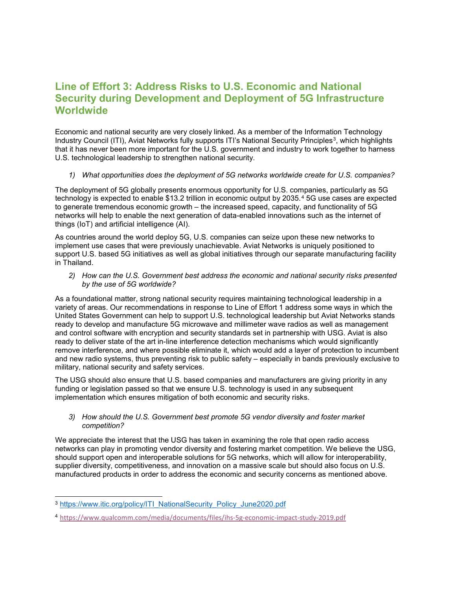## **Line of Effort 3: Address Risks to U.S. Economic and National Security during Development and Deployment of 5G Infrastructure Worldwide**

Economic and national security are very closely linked. As a member of the Information Technology Industry Council (ITI), Aviat Networks fully supports ITI's National Security Principles<sup>[3](#page-5-0)</sup>, which highlights that it has never been more important for the U.S. government and industry to work together to harness U.S. technological leadership to strengthen national security.

#### *1) What opportunities does the deployment of 5G networks worldwide create for U.S. companies?*

The deployment of 5G globally presents enormous opportunity for U.S. companies, particularly as 5G technology is expected to enable \$13.2 trillion in economic output by 2035.<sup>[4](#page-5-1)</sup> 5G use cases are expected to generate tremendous economic growth – the increased speed, capacity, and functionality of 5G networks will help to enable the next generation of data-enabled innovations such as the internet of things (IoT) and artificial intelligence (AI).

As countries around the world deploy 5G, U.S. companies can seize upon these new networks to implement use cases that were previously unachievable. Aviat Networks is uniquely positioned to support U.S. based 5G initiatives as well as global initiatives through our separate manufacturing facility in Thailand.

*2) How can the U.S. Government best address the economic and national security risks presented by the use of 5G worldwide?*

As a foundational matter, strong national security requires maintaining technological leadership in a variety of areas. Our recommendations in response to Line of Effort 1 address some ways in which the United States Government can help to support U.S. technological leadership but Aviat Networks stands ready to develop and manufacture 5G microwave and millimeter wave radios as well as management and control software with encryption and security standards set in partnership with USG. Aviat is also ready to deliver state of the art in-line interference detection mechanisms which would significantly remove interference, and where possible eliminate it, which would add a layer of protection to incumbent and new radio systems, thus preventing risk to public safety – especially in bands previously exclusive to military, national security and safety services.

The USG should also ensure that U.S. based companies and manufacturers are giving priority in any funding or legislation passed so that we ensure U.S. technology is used in any subsequent implementation which ensures mitigation of both economic and security risks.

#### *3) How should the U.S. Government best promote 5G vendor diversity and foster market competition?*

We appreciate the interest that the USG has taken in examining the role that open radio access networks can play in promoting vendor diversity and fostering market competition. We believe the USG, should support open and interoperable solutions for 5G networks, which will allow for interoperability, supplier diversity, competitiveness, and innovation on a massive scale but should also focus on U.S. manufactured products in order to address the economic and security concerns as mentioned above.

<span id="page-5-0"></span><sup>&</sup>lt;sup>3</sup> [https://www.itic.org/policy/ITI\\_NationalSecurity\\_Policy\\_June2020.pdf](https://www.itic.org/policy/ITI_NationalSecurity_Policy_June2020.pdf)

<span id="page-5-1"></span><sup>4</sup> <https://www.qualcomm.com/media/documents/files/ihs-5g-economic-impact-study-2019.pdf>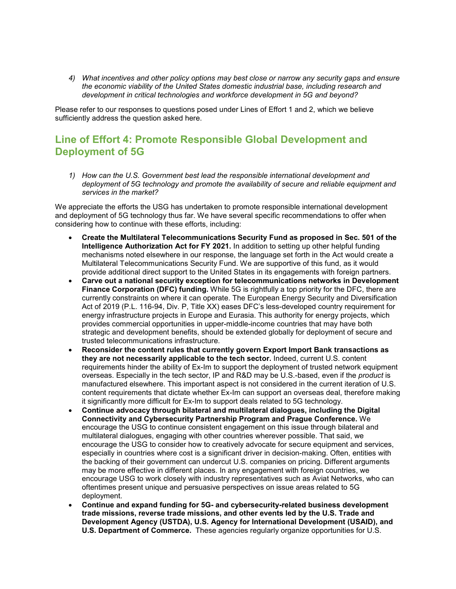*4) What incentives and other policy options may best close or narrow any security gaps and ensure the economic viability of the United States domestic industrial base, including research and development in critical technologies and workforce development in 5G and beyond?* 

Please refer to our responses to questions posed under Lines of Effort 1 and 2, which we believe sufficiently address the question asked here.

### **Line of Effort 4: Promote Responsible Global Development and Deployment of 5G**

*1) How can the U.S. Government best lead the responsible international development and deployment of 5G technology and promote the availability of secure and reliable equipment and services in the market?* 

We appreciate the efforts the USG has undertaken to promote responsible international development and deployment of 5G technology thus far. We have several specific recommendations to offer when considering how to continue with these efforts, including:

- **Create the Multilateral Telecommunications Security Fund as proposed in Sec. 501 of the Intelligence Authorization Act for FY 2021.** In addition to setting up other helpful funding mechanisms noted elsewhere in our response, the language set forth in the Act would create a Multilateral Telecommunications Security Fund. We are supportive of this fund, as it would provide additional direct support to the United States in its engagements with foreign partners.
- **Carve out a national security exception for telecommunications networks in Development Finance Corporation (DFC) funding.** While 5G is rightfully a top priority for the DFC, there are currently constraints on where it can operate. The European Energy Security and Diversification Act of 2019 (P.L. 116-94, Div. P, Title XX) eases DFC's less-developed country requirement for energy infrastructure projects in Europe and Eurasia. This authority for energy projects, which provides commercial opportunities in upper-middle-income countries that may have both strategic and development benefits, should be extended globally for deployment of secure and trusted telecommunications infrastructure.
- **Reconsider the content rules that currently govern Export Import Bank transactions as they are not necessarily applicable to the tech sector.** Indeed, current U.S. content requirements hinder the ability of Ex-Im to support the deployment of trusted network equipment overseas. Especially in the tech sector, IP and R&D may be U.S.-based, even if the *product* is manufactured elsewhere. This important aspect is not considered in the current iteration of U.S. content requirements that dictate whether Ex-Im can support an overseas deal, therefore making it significantly more difficult for Ex-Im to support deals related to 5G technology.
- **Continue advocacy through bilateral and multilateral dialogues, including the Digital Connectivity and Cybersecurity Partnership Program and Prague Conference.** We encourage the USG to continue consistent engagement on this issue through bilateral and multilateral dialogues, engaging with other countries wherever possible. That said, we encourage the USG to consider how to creatively advocate for secure equipment and services, especially in countries where cost is a significant driver in decision-making. Often, entities with the backing of their government can undercut U.S. companies on pricing. Different arguments may be more effective in different places. In any engagement with foreign countries, we encourage USG to work closely with industry representatives such as Aviat Networks, who can oftentimes present unique and persuasive perspectives on issue areas related to 5G deployment.
- **Continue and expand funding for 5G- and cybersecurity-related business development trade missions, reverse trade missions, and other events led by the U.S. Trade and Development Agency (USTDA), U.S. Agency for International Development (USAID), and U.S. Department of Commerce.** These agencies regularly organize opportunities for U.S.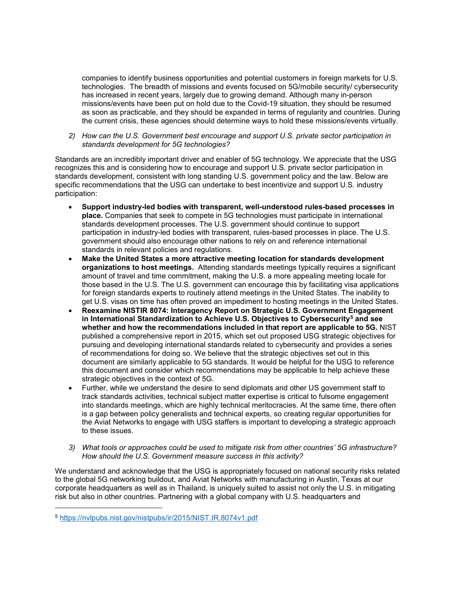companies to identify business opportunities and potential customers in foreign markets for U.S. technologies. The breadth of missions and events focused on 5G/mobile security/ cybersecurity has increased in recent years, largely due to growing demand. Although many in-person missions/events have been put on hold due to the Covid-19 situation, they should be resumed as soon as practicable, and they should be expanded in terms of regularity and countries. During the current crisis, these agencies should determine ways to hold these missions/events virtually.

*2) How can the U.S. Government best encourage and support U.S. private sector participation in standards development for 5G technologies?* 

Standards are an incredibly important driver and enabler of 5G technology. We appreciate that the USG recognizes this and is considering how to encourage and support U.S. private sector participation in standards development, consistent with long standing U.S. government policy and the law. Below are specific recommendations that the USG can undertake to best incentivize and support U.S. industry participation:

- **Support industry-led bodies with transparent, well-understood rules-based processes in place.** Companies that seek to compete in 5G technologies must participate in international standards development processes. The U.S. government should continue to support participation in industry-led bodies with transparent, rules-based processes in place. The U.S. government should also encourage other nations to rely on and reference international standards in relevant policies and regulations.
- **Make the United States a more attractive meeting location for standards development organizations to host meetings.** Attending standards meetings typically requires a significant amount of travel and time commitment, making the U.S. a more appealing meeting locale for those based in the U.S. The U.S. government can encourage this by facilitating visa applications for foreign standards experts to routinely attend meetings in the United States. The inability to get U.S. visas on time has often proved an impediment to hosting meetings in the United States.
- **Reexamine NISTIR 8074: Interagency Report on Strategic U.S. Government Engagement in International Standardization to Achieve U.S. Objectives to Cybersecurity[5](#page-7-0) and see whether and how the recommendations included in that report are applicable to 5G.** NIST published a comprehensive report in 2015, which set out proposed USG strategic objectives for pursuing and developing international standards related to cybersecurity and provides a series of recommendations for doing so. We believe that the strategic objectives set out in this document are similarly applicable to 5G standards. It would be helpful for the USG to reference this document and consider which recommendations may be applicable to help achieve these strategic objectives in the context of 5G.
- Further, while we understand the desire to send diplomats and other US government staff to track standards activities, technical subject matter expertise is critical to fulsome engagement into standards meetings, which are highly technical meritocracies. At the same time, there often is a gap between policy generalists and technical experts, so creating regular opportunities for the Aviat Networks to engage with USG staffers is important to developing a strategic approach to these issues.
- *3) What tools or approaches could be used to mitigate risk from other countries' 5G infrastructure? How should the U.S. Government measure success in this activity?*

We understand and acknowledge that the USG is appropriately focused on national security risks related to the global 5G networking buildout, and Aviat Networks with manufacturing in Austin, Texas at our corporate headquarters as well as in Thailand, is uniquely suited to assist not only the U.S. in mitigating risk but also in other countries. Partnering with a global company with U.S. headquarters and

-

<span id="page-7-0"></span><sup>5</sup> <https://nvlpubs.nist.gov/nistpubs/ir/2015/NIST.IR.8074v1.pdf>